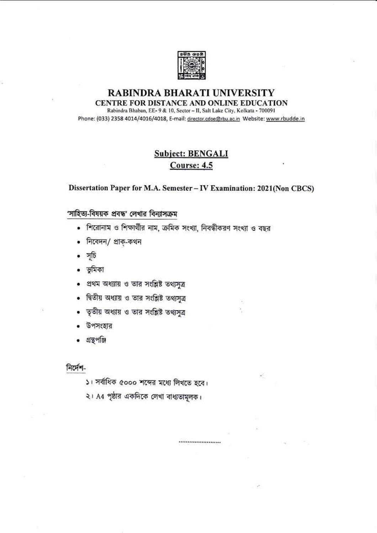

#### **RABINDRA BHARATI UNIVERSITY** CENTRE FOR DISTANCE AND ONLINE EDUCATION Rabindra Bhaban, EE- 9 & 10, Sector - II, Salt Lake City, Kolkata - 700091

Phone: (033) 2358 4014/4016/4018, E-mail: director.cdoe@rbu.ac.in Website: www.rbudde.in

## **Subject: BENGALI** Course: 4.5

#### Dissertation Paper for M.A. Semester - IV Examination: 2021(Non CBCS)

.......................

## 'সাহিত্য-বিষয়ক প্রবন্ধ' লেখার বিন্যাসক্রম

- শিরোনাম ও শিক্ষার্থীর নাম, ক্রমিক সংখ্যা, নিবন্ধীকরণ সংখ্যা ও বছর
- নিবেদন/ প্রাক্-কথন
- সৃচি
- ভূমিকা
- প্ৰথম অধ্য্যায় ও তার সংশ্লিষ্ট তথ্যসূত্র  $\bullet$
- দ্বিতীয় অধ্যায় ও তার সংশ্লিষ্ট তথ্যসূত্র  $\bullet$
- তৃতীয় অধ্যায় ও তার সংশ্লিষ্ট তথ্যসুত্র
- উপসংহার
- গ্ৰন্থপঞ্জি

#### নিৰ্দেশ-

- ১। সর্বাধিক ৫০০০ শব্দের মধ্যে লিখতে হবে।
- ২। A4 পৃষ্ঠার একদিকে লেখা বাধ্যতামূলক।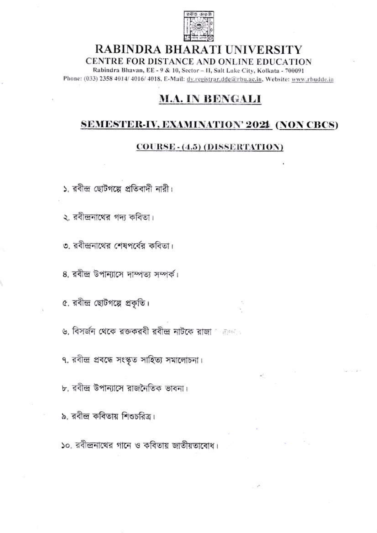

# RABINDRA BHARATI UNIVERSITY CENTRE FOR DISTANCE AND ONLINE EDUCATION

Rabindra Bhavan, EE - 9 & 10, Sector - II, Salt Lake City, Kolkata - 700091 Phone: (033) 2358 4014/ 4016/ 4018, E-Mail: dy.registrar.dde@rbu.ac.in, Website: www.rbudde.in

# **M.A. IN BENGALI**

# **SEMESTER-IV, EXAMINATION' 2021 (NON CBCS)**

### COURSE - (4.5) (DISSERTATION)

১. রবীন্দ্র ছোটগল্পে প্রতিবাদী নারী।

২. রবীন্দ্রনাথের গদ্য কবিতা।

৩. রবীন্দ্রনাথের শেষপর্বের কবিতা।

8. রবীন্দ্র উপান্যাসে দাম্পত্য সম্পর্ক।

৫. রবীন্দ্র ছোটগল্পে প্রকৃতি।

৬. বিসর্জন থেকে রক্তকরবী রবীন্দ্র নাটকে রাজা সময়তে

৭. রবীন্দ্র প্রবন্ধে সংস্কৃত সাহিত্য সমালোচনা।

৮. রবীন্দ্র উপান্যাসে রাজনৈতিক ভাবনা।

৯, রবীন্দ্র কবিতায় শিশুচরিত্র।

১০, রবীন্দ্রনাথের গানে ও কবিতায় জাতীয়তাবোধ।